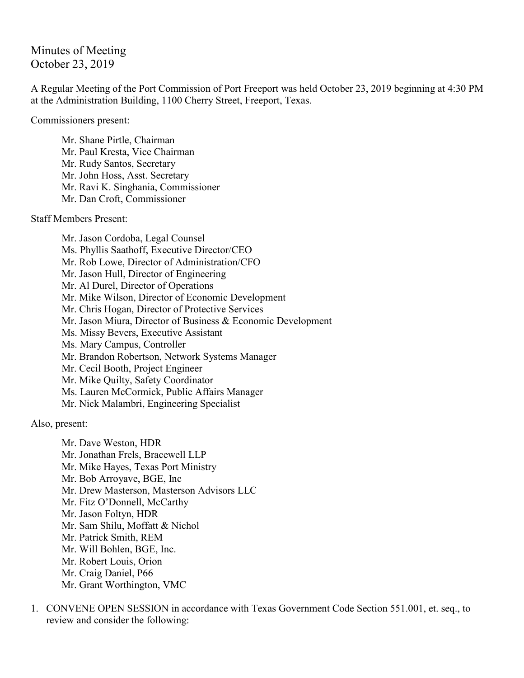Minutes of Meeting October 23, 2019

A Regular Meeting of the Port Commission of Port Freeport was held October 23, 2019 beginning at 4:30 PM at the Administration Building, 1100 Cherry Street, Freeport, Texas.

Commissioners present:

Mr. Shane Pirtle, Chairman Mr. Paul Kresta, Vice Chairman Mr. Rudy Santos, Secretary Mr. John Hoss, Asst. Secretary Mr. Ravi K. Singhania, Commissioner Mr. Dan Croft, Commissioner

Staff Members Present:

Mr. Jason Cordoba, Legal Counsel Ms. Phyllis Saathoff, Executive Director/CEO Mr. Rob Lowe, Director of Administration/CFO Mr. Jason Hull, Director of Engineering Mr. Al Durel, Director of Operations Mr. Mike Wilson, Director of Economic Development Mr. Chris Hogan, Director of Protective Services Mr. Jason Miura, Director of Business & Economic Development Ms. Missy Bevers, Executive Assistant Ms. Mary Campus, Controller Mr. Brandon Robertson, Network Systems Manager Mr. Cecil Booth, Project Engineer Mr. Mike Quilty, Safety Coordinator Ms. Lauren McCormick, Public Affairs Manager Mr. Nick Malambri, Engineering Specialist

Also, present:

Mr. Dave Weston, HDR Mr. Jonathan Frels, Bracewell LLP Mr. Mike Hayes, Texas Port Ministry Mr. Bob Arroyave, BGE, Inc Mr. Drew Masterson, Masterson Advisors LLC Mr. Fitz O'Donnell, McCarthy Mr. Jason Foltyn, HDR Mr. Sam Shilu, Moffatt & Nichol Mr. Patrick Smith, REM Mr. Will Bohlen, BGE, Inc. Mr. Robert Louis, Orion Mr. Craig Daniel, P66 Mr. Grant Worthington, VMC

1. CONVENE OPEN SESSION in accordance with Texas Government Code Section 551.001, et. seq., to review and consider the following: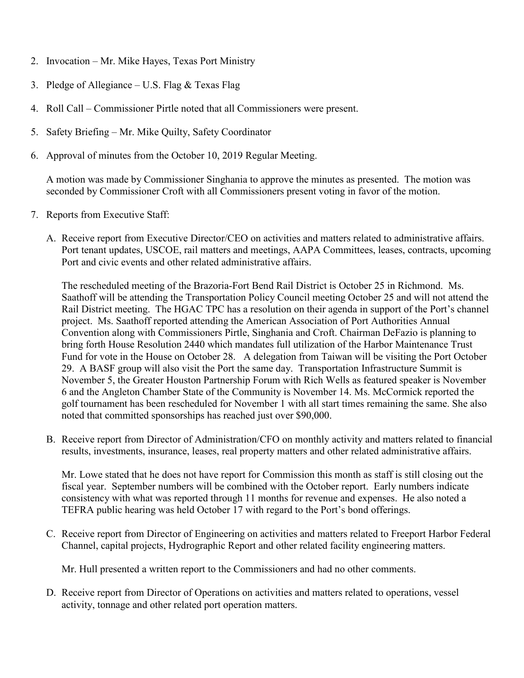- 2. Invocation Mr. Mike Hayes, Texas Port Ministry
- 3. Pledge of Allegiance U.S. Flag  $&$  Texas Flag
- 4. Roll Call Commissioner Pirtle noted that all Commissioners were present.
- 5. Safety Briefing Mr. Mike Quilty, Safety Coordinator
- 6. Approval of minutes from the October 10, 2019 Regular Meeting.

A motion was made by Commissioner Singhania to approve the minutes as presented. The motion was seconded by Commissioner Croft with all Commissioners present voting in favor of the motion.

- 7. Reports from Executive Staff:
	- A. Receive report from Executive Director/CEO on activities and matters related to administrative affairs. Port tenant updates, USCOE, rail matters and meetings, AAPA Committees, leases, contracts, upcoming Port and civic events and other related administrative affairs.

The rescheduled meeting of the Brazoria-Fort Bend Rail District is October 25 in Richmond. Ms. Saathoff will be attending the Transportation Policy Council meeting October 25 and will not attend the Rail District meeting. The HGAC TPC has a resolution on their agenda in support of the Port's channel project. Ms. Saathoff reported attending the American Association of Port Authorities Annual Convention along with Commissioners Pirtle, Singhania and Croft. Chairman DeFazio is planning to bring forth House Resolution 2440 which mandates full utilization of the Harbor Maintenance Trust Fund for vote in the House on October 28. A delegation from Taiwan will be visiting the Port October 29. A BASF group will also visit the Port the same day. Transportation Infrastructure Summit is November 5, the Greater Houston Partnership Forum with Rich Wells as featured speaker is November 6 and the Angleton Chamber State of the Community is November 14. Ms. McCormick reported the golf tournament has been rescheduled for November 1 with all start times remaining the same. She also noted that committed sponsorships has reached just over \$90,000.

B. Receive report from Director of Administration/CFO on monthly activity and matters related to financial results, investments, insurance, leases, real property matters and other related administrative affairs.

Mr. Lowe stated that he does not have report for Commission this month as staff is still closing out the fiscal year. September numbers will be combined with the October report. Early numbers indicate consistency with what was reported through 11 months for revenue and expenses. He also noted a TEFRA public hearing was held October 17 with regard to the Port's bond offerings.

C. Receive report from Director of Engineering on activities and matters related to Freeport Harbor Federal Channel, capital projects, Hydrographic Report and other related facility engineering matters.

Mr. Hull presented a written report to the Commissioners and had no other comments.

D. Receive report from Director of Operations on activities and matters related to operations, vessel activity, tonnage and other related port operation matters.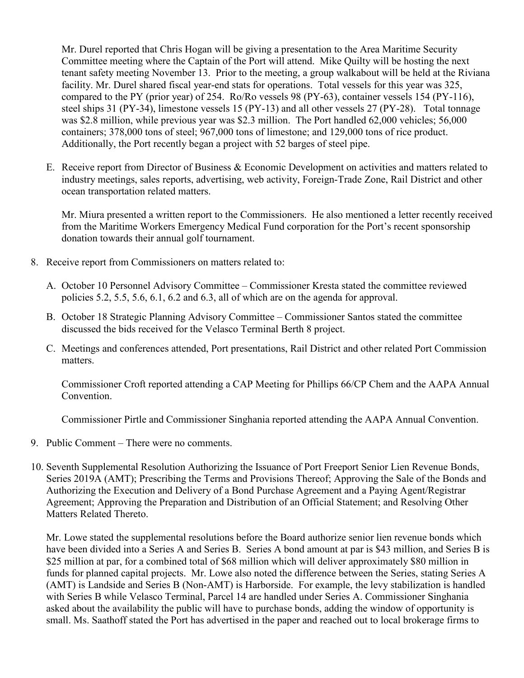Mr. Durel reported that Chris Hogan will be giving a presentation to the Area Maritime Security Committee meeting where the Captain of the Port will attend. Mike Quilty will be hosting the next tenant safety meeting November 13. Prior to the meeting, a group walkabout will be held at the Riviana facility. Mr. Durel shared fiscal year-end stats for operations. Total vessels for this year was 325, compared to the PY (prior year) of 254. Ro/Ro vessels 98 (PY-63), container vessels 154 (PY-116), steel ships 31 (PY-34), limestone vessels 15 (PY-13) and all other vessels 27 (PY-28). Total tonnage was \$2.8 million, while previous year was \$2.3 million. The Port handled 62,000 vehicles; 56,000 containers; 378,000 tons of steel; 967,000 tons of limestone; and 129,000 tons of rice product. Additionally, the Port recently began a project with 52 barges of steel pipe.

E. Receive report from Director of Business & Economic Development on activities and matters related to industry meetings, sales reports, advertising, web activity, Foreign-Trade Zone, Rail District and other ocean transportation related matters.

Mr. Miura presented a written report to the Commissioners. He also mentioned a letter recently received from the Maritime Workers Emergency Medical Fund corporation for the Port's recent sponsorship donation towards their annual golf tournament.

- 8. Receive report from Commissioners on matters related to:
	- A. October 10 Personnel Advisory Committee Commissioner Kresta stated the committee reviewed policies 5.2, 5.5, 5.6, 6.1, 6.2 and 6.3, all of which are on the agenda for approval.
	- B. October 18 Strategic Planning Advisory Committee Commissioner Santos stated the committee discussed the bids received for the Velasco Terminal Berth 8 project.
	- C. Meetings and conferences attended, Port presentations, Rail District and other related Port Commission matters.

Commissioner Croft reported attending a CAP Meeting for Phillips 66/CP Chem and the AAPA Annual Convention.

Commissioner Pirtle and Commissioner Singhania reported attending the AAPA Annual Convention.

- 9. Public Comment There were no comments.
- 10. Seventh Supplemental Resolution Authorizing the Issuance of Port Freeport Senior Lien Revenue Bonds, Series 2019A (AMT); Prescribing the Terms and Provisions Thereof; Approving the Sale of the Bonds and Authorizing the Execution and Delivery of a Bond Purchase Agreement and a Paying Agent/Registrar Agreement; Approving the Preparation and Distribution of an Official Statement; and Resolving Other Matters Related Thereto.

Mr. Lowe stated the supplemental resolutions before the Board authorize senior lien revenue bonds which have been divided into a Series A and Series B. Series A bond amount at par is \$43 million, and Series B is \$25 million at par, for a combined total of \$68 million which will deliver approximately \$80 million in funds for planned capital projects. Mr. Lowe also noted the difference between the Series, stating Series A (AMT) is Landside and Series B (Non-AMT) is Harborside. For example, the levy stabilization is handled with Series B while Velasco Terminal, Parcel 14 are handled under Series A. Commissioner Singhania asked about the availability the public will have to purchase bonds, adding the window of opportunity is small. Ms. Saathoff stated the Port has advertised in the paper and reached out to local brokerage firms to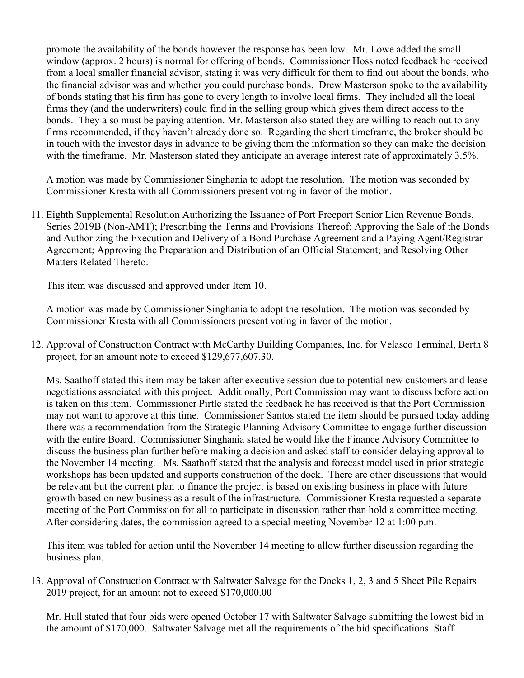promote the availability of the bonds however the response has been low. Mr. Lowe added the small window (approx. 2 hours) is normal for offering of bonds. Commissioner Hoss noted feedback he received from a local smaller financial advisor, stating it was very difficult for them to find out about the bonds, who the financial advisor was and whether you could purchase bonds. Drew Masterson spoke to the availability of bonds stating that his firm has gone to every length to involve local firms. They included all the local firms they (and the underwriters) could find in the selling group which gives them direct access to the bonds. They also must be paying attention. Mr. Masterson also stated they are willing to reach out to any firms recommended, if they haven't already done so. Regarding the short timeframe, the broker should be in touch with the investor days in advance to be giving them the information so they can make the decision with the timeframe. Mr. Masterson stated they anticipate an average interest rate of approximately 3.5%.

A motion was made by Commissioner Singhania to adopt the resolution. The motion was seconded by Commissioner Kresta with all Commissioners present voting in favor of the motion.

11. Eighth Supplemental Resolution Authorizing the Issuance of Port Freeport Senior Lien Revenue Bonds, Series 2019B (Non-AMT); Prescribing the Terms and Provisions Thereof; Approving the Sale of the Bonds and Authorizing the Execution and Delivery of a Bond Purchase Agreement and a Paying Agent/Registrar Agreement; Approving the Preparation and Distribution of an Official Statement; and Resolving Other Matters Related Thereto.

This item was discussed and approved under Item 10.

A motion was made by Commissioner Singhania to adopt the resolution. The motion was seconded by Commissioner Kresta with all Commissioners present voting in favor of the motion.

12. Approval of Construction Contract with McCarthy Building Companies, Inc. for Velasco Terminal, Berth 8 project, for an amount note to exceed \$129,677,607.30.

Ms. Saathoff stated this item may be taken after executive session due to potential new customers and lease negotiations associated with this project. Additionally, Port Commission may want to discuss before action is taken on this item. Commissioner Pirtle stated the feedback he has received is that the Port Commission may not want to approve at this time. Commissioner Santos stated the item should be pursued today adding there was a recommendation from the Strategic Planning Advisory Committee to engage further discussion with the entire Board. Commissioner Singhania stated he would like the Finance Advisory Committee to discuss the business plan further before making a decision and asked staff to consider delaying approval to the November 14 meeting. Ms. Saathoff stated that the analysis and forecast model used in prior strategic workshops has been updated and supports construction of the dock. There are other discussions that would be relevant but the current plan to finance the project is based on existing business in place with future growth based on new business as a result of the infrastructure. Commissioner Kresta requested a separate meeting of the Port Commission for all to participate in discussion rather than hold a committee meeting. After considering dates, the commission agreed to a special meeting November 12 at 1:00 p.m.

This item was tabled for action until the November 14 meeting to allow further discussion regarding the business plan.

13. Approval of Construction Contract with Saltwater Salvage for the Docks 1, 2, 3 and 5 Sheet Pile Repairs 2019 project, for an amount not to exceed \$170,000.00

Mr. Hull stated that four bids were opened October 17 with Saltwater Salvage submitting the lowest bid in the amount of \$170,000. Saltwater Salvage met all the requirements of the bid specifications. Staff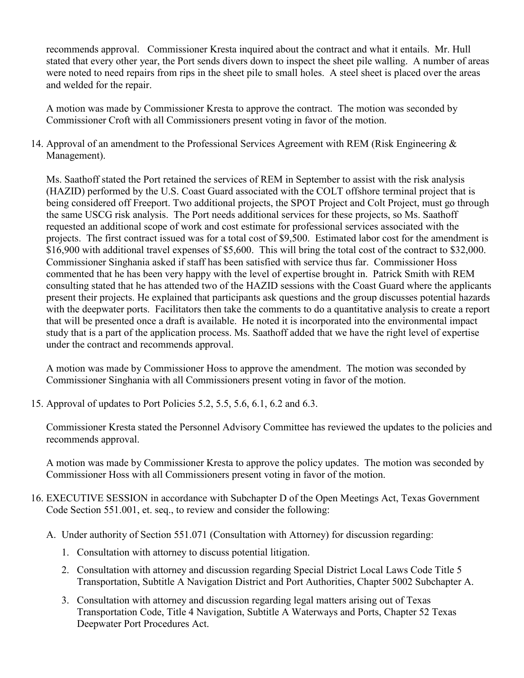recommends approval. Commissioner Kresta inquired about the contract and what it entails. Mr. Hull stated that every other year, the Port sends divers down to inspect the sheet pile walling. A number of areas were noted to need repairs from rips in the sheet pile to small holes. A steel sheet is placed over the areas and welded for the repair.

A motion was made by Commissioner Kresta to approve the contract. The motion was seconded by Commissioner Croft with all Commissioners present voting in favor of the motion.

14. Approval of an amendment to the Professional Services Agreement with REM (Risk Engineering  $\&$ Management).

Ms. Saathoff stated the Port retained the services of REM in September to assist with the risk analysis (HAZID) performed by the U.S. Coast Guard associated with the COLT offshore terminal project that is being considered off Freeport. Two additional projects, the SPOT Project and Colt Project, must go through the same USCG risk analysis. The Port needs additional services for these projects, so Ms. Saathoff requested an additional scope of work and cost estimate for professional services associated with the projects. The first contract issued was for a total cost of \$9,500. Estimated labor cost for the amendment is \$16,900 with additional travel expenses of \$5,600. This will bring the total cost of the contract to \$32,000. Commissioner Singhania asked if staff has been satisfied with service thus far. Commissioner Hoss commented that he has been very happy with the level of expertise brought in. Patrick Smith with REM consulting stated that he has attended two of the HAZID sessions with the Coast Guard where the applicants present their projects. He explained that participants ask questions and the group discusses potential hazards with the deepwater ports. Facilitators then take the comments to do a quantitative analysis to create a report that will be presented once a draft is available. He noted it is incorporated into the environmental impact study that is a part of the application process. Ms. Saathoff added that we have the right level of expertise under the contract and recommends approval.

A motion was made by Commissioner Hoss to approve the amendment. The motion was seconded by Commissioner Singhania with all Commissioners present voting in favor of the motion.

15. Approval of updates to Port Policies 5.2, 5.5, 5.6, 6.1, 6.2 and 6.3.

Commissioner Kresta stated the Personnel Advisory Committee has reviewed the updates to the policies and recommends approval.

A motion was made by Commissioner Kresta to approve the policy updates. The motion was seconded by Commissioner Hoss with all Commissioners present voting in favor of the motion.

- 16. EXECUTIVE SESSION in accordance with Subchapter D of the Open Meetings Act, Texas Government Code Section 551.001, et. seq., to review and consider the following:
	- A. Under authority of Section 551.071 (Consultation with Attorney) for discussion regarding:
		- 1. Consultation with attorney to discuss potential litigation.
		- 2. Consultation with attorney and discussion regarding Special District Local Laws Code Title 5 Transportation, Subtitle A Navigation District and Port Authorities, Chapter 5002 Subchapter A.
		- 3. Consultation with attorney and discussion regarding legal matters arising out of Texas Transportation Code, Title 4 Navigation, Subtitle A Waterways and Ports, Chapter 52 Texas Deepwater Port Procedures Act.